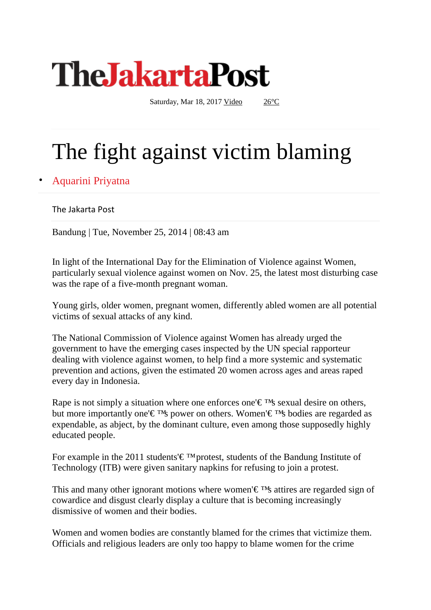

Saturday, Mar 18, 2017 [Video](http://www.thejakartapost.com/multimedia/video) [26°C](javascript:void())

## The fight against victim blaming

Aquarini Priyatna

The Jakarta Post

Bandung | Tue, November 25, 2014 | 08:43 am

In light of the International Day for the Elimination of Violence against Women, particularly sexual violence against women on Nov. 25, the latest most disturbing case was the rape of a five-month pregnant woman.

Young girls, older women, pregnant women, differently abled women are all potential victims of sexual attacks of any kind.

The National Commission of Violence against Women has already urged the government to have the emerging cases inspected by the UN special rapporteur dealing with violence against women, to help find a more systemic and systematic prevention and actions, given the estimated 20 women across ages and areas raped every day in Indonesia.

Rape is not simply a situation where one enforces one' $\epsilon$ <sup>TM</sup>s sexual desire on others, but more importantly one'€ ™s power on others. Women'€ ™s bodies are regarded as expendable, as abject, by the dominant culture, even among those supposedly highly educated people.

For example in the 2011 students' $\epsilon$ <sup>TM</sup> protest, students of the Bandung Institute of Technology (ITB) were given sanitary napkins for refusing to join a protest.

This and many other ignorant motions where women' $\epsilon$ <sup>TM</sup>s attires are regarded sign of cowardice and disgust clearly display a culture that is becoming increasingly dismissive of women and their bodies.

Women and women bodies are constantly blamed for the crimes that victimize them. Officials and religious leaders are only too happy to blame women for the crime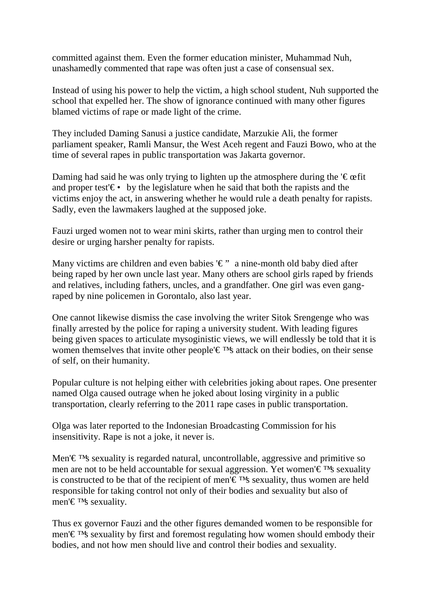committed against them. Even the former education minister, Muhammad Nuh, unashamedly commented that rape was often just a case of consensual sex.

Instead of using his power to help the victim, a high school student, Nuh supported the school that expelled her. The show of ignorance continued with many other figures blamed victims of rape or made light of the crime.

They included Daming Sanusi a justice candidate, Marzukie Ali, the former parliament speaker, Ramli Mansur, the West Aceh regent and Fauzi Bowo, who at the time of several rapes in public transportation was Jakarta governor.

Daming had said he was only trying to lighten up the atmosphere during the  $\epsilon$   $\epsilon$   $\epsilon$  fit and proper test' $\epsilon \cdot$  by the legislature when he said that both the rapists and the victims enjoy the act, in answering whether he would rule a death penalty for rapists. Sadly, even the lawmakers laughed at the supposed joke.

Fauzi urged women not to wear mini skirts, rather than urging men to control their desire or urging harsher penalty for rapists.

Many victims are children and even babies ' $\epsilon$ " a nine-month old baby died after being raped by her own uncle last year. Many others are school girls raped by friends and relatives, including fathers, uncles, and a grandfather. One girl was even gangraped by nine policemen in Gorontalo, also last year.

One cannot likewise dismiss the case involving the writer Sitok Srengenge who was finally arrested by the police for raping a university student. With leading figures being given spaces to articulate mysoginistic views, we will endlessly be told that it is women themselves that invite other people'€ ™s attack on their bodies, on their sense of self, on their humanity.

Popular culture is not helping either with celebrities joking about rapes. One presenter named Olga caused outrage when he joked about losing virginity in a public transportation, clearly referring to the 2011 rape cases in public transportation.

Olga was later reported to the Indonesian Broadcasting Commission for his insensitivity. Rape is not a joke, it never is.

Men'€ ™s sexuality is regarded natural, uncontrollable, aggressive and primitive so men are not to be held accountable for sexual aggression. Yet women'€ ™s sexuality is constructed to be that of the recipient of men' $\epsilon$ <sup>TM</sup>s sexuality, thus women are held responsible for taking control not only of their bodies and sexuality but also of men'€ ™s sexuality.

Thus ex governor Fauzi and the other figures demanded women to be responsible for men'€ ™s sexuality by first and foremost regulating how women should embody their bodies, and not how men should live and control their bodies and sexuality.